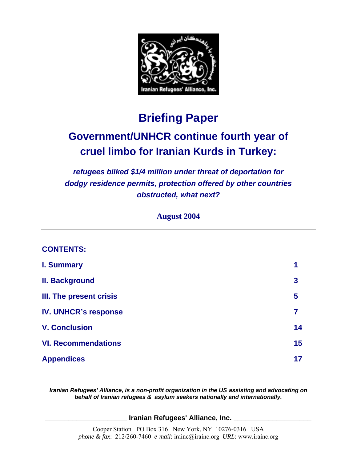

# **Briefing Paper**

# **Government/UNHCR continue fourth year of cruel limbo for Iranian Kurds in Turkey:**

*refugees bilked \$1/4 million under threat of deportation for dodgy residence permits, protection offered by other countries obstructed, what next?* 

**August 2004** 

#### **CONTENTS:**

| <b>I. Summary</b>              | 1  |
|--------------------------------|----|
| <b>II. Background</b>          | 3  |
| <b>III. The present crisis</b> | 5  |
| <b>IV. UNHCR's response</b>    |    |
| <b>V. Conclusion</b>           | 14 |
| <b>VI. Recommendations</b>     | 15 |
| <b>Appendices</b>              | 17 |

*Iranian Refugees' Alliance, is a non-profit organization in the US assisting and advocating on behalf of Iranian refugees & asylum seekers nationally and internationally.*

**\_\_\_\_\_\_\_\_\_ \_\_ \_\_\_ \_\_\_\_\_\_\_ Iranian Refugees' Alliance, Inc. \_\_\_\_\_\_\_\_\_\_\_\_\_\_\_\_\_\_\_\_**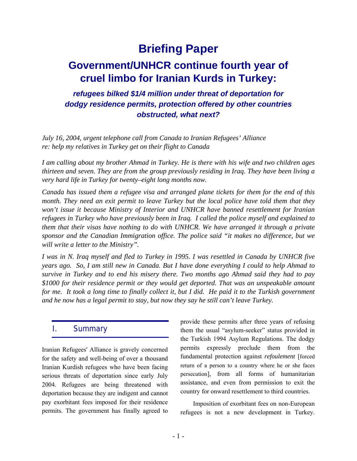# **Briefing Paper**

# **Government/UNHCR continue fourth year of cruel limbo for Iranian Kurds in Turkey:**

### *refugees bilked \$1/4 million under threat of deportation for dodgy residence permits, protection offered by other countries obstructed, what next?*

*July 16, 2004, urgent telephone call from Canada to Iranian Refugees' Alliance re: help my relatives in Turkey get on their flight to Canada* 

*I am calling about my brother Ahmad in Turkey. He is there with his wife and two children ages thirteen and seven. They are from the group previously residing in Iraq. They have been living a very hard life in Turkey for twenty–eight long months now.* 

*Canada has issued them a refugee visa and arranged plane tickets for them for the end of this month. They need an exit permit to leave Turkey but the local police have told them that they won't issue it because Ministry of Interior and UNHCR have banned resettlement for Iranian refugees in Turkey who have previously been in Iraq. I called the police myself and explained to them that their visas have nothing to do with UNHCR. We have arranged it through a private sponsor and the Canadian Immigration office. The police said "it makes no difference, but we will write a letter to the Ministry".* 

*I was in N. Iraq myself and fled to Turkey in 1995. I was resettled in Canada by UNHCR five years ago. So, I am still new in Canada. But I have done everything I could to help Ahmad to survive in Turkey and to end his misery there. Two months ago Ahmad said they had to pay \$1000 for their residence permit or they would get deported. That was an unspeakable amount for me. It took a long time to finally collect it, but I did. He paid it to the Turkish government and he now has a legal permit to stay, but now they say he still can't leave Turkey.* 

#### I. Summary

Iranian Refugees' Alliance is gravely concerned for the safety and well-being of over a thousand Iranian Kurdish refugees who have been facing serious threats of deportation since early July 2004. Refugees are being threatened with deportation because they are indigent and cannot pay exorbitant fees imposed for their residence permits. The government has finally agreed to

provide these permits after three years of refusing them the usual "asylum-seeker" status provided in the Turkish 1994 Asylum Regulations. The dodgy permits expressly preclude them from the fundamental protection against *refoulement* [forced return of a person to a country where he or she faces persecution], from all forms of humanitarian assistance, and even from permission to exit the country for onward resettlement to third countries.

Imposition of exorbitant fees on non-European refugees is not a new development in Turkey.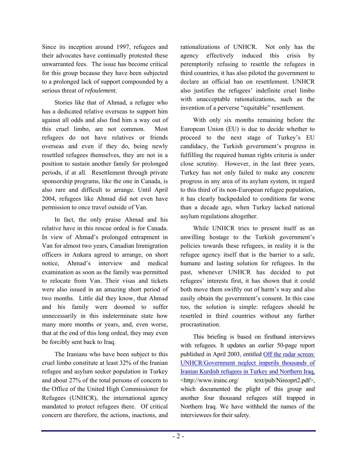Since its inception around 1997, refugees and their advocates have continually protested these unwarranted fees. The issue has become critical for this group because they have been subjected to a prolonged lack of support compounded by a serious threat of *refoulement*.

Stories like that of Ahmad, a refugee who has a dedicated relative overseas to support him against all odds and also find him a way out of this cruel limbo, are not common. Most refugees do not have relatives or friends overseas and even if they do, being newly resettled refugees themselves, they are not in a position to sustain another family for prolonged periods, if at all. Resettlement through private sponsorship programs, like the one in Canada, is also rare and difficult to arrange. Until April 2004, refugees like Ahmad did not even have permission to once travel outside of Van.

In fact, the only praise Ahmad and his relative have in this rescue ordeal is for Canada. In view of Ahmad's prolonged entrapment in Van for almost two years, Canadian Immigration officers in Ankara agreed to arrange, on short notice. Ahmad's interview and medical examination as soon as the family was permitted to relocate from Van. Their visas and tickets were also issued in an amazing short period of two months. Little did they know, that Ahmad and his family were doomed to suffer unnecessarily in this indeterminate state how many more months or years, and, even worse, that at the end of this long ordeal, they may even be forcibly sent back to Iraq.

The Iranians who have been subject to this cruel limbo constitute at least 32% of the Iranian refugee and asylum seeker population in Turkey and about 27% of the total persons of concern to the Office of the United High Commissioner for Refugees (UNHCR), the international agency mandated to protect refugees there. Of critical concern are therefore, the actions, inactions, and rationalizations of UNHCR. Not only has the agency effectively induced this crisis by peremptorily refusing to resettle the refugees in third countries, it has also piloted the government to declare an official ban on resettlement. UNHCR also justifies the refugees' indefinite cruel limbo with unacceptable rationalizations, such as the invention of a perverse "equitable" resettlement.

With only six months remaining before the European Union (EU) is due to decide whether to proceed to the next stage of Turkey's EU candidacy, the Turkish government's progress in fulfilling the required human rights criteria is under close scrutiny. However, in the last three years, Turkey has not only failed to make any concrete progress in any area of its asylum system, in regard to this third of its non-European refugee population, it has clearly backpedaled to conditions far worse than a decade ago, when Turkey lacked national asylum regulations altogether.

While UNHCR tries to present itself as an unwilling hostage to the Turkish government's policies towards these refugees, in reality it is the refugee agency itself that is the barrier to a safe, humane and lasting solution for refugees. In the past, whenever UNHCR has decided to put refugees' interests first, it has shown that it could both move them swiftly out of harm's way and also easily obtain the government's consent. In this case too, the solution is simple: refugees should be resettled in third countries without any further procrastination.

This briefing is based on firsthand interviews with refugees. It updates an earlier 50-page report published in April 2003, entitled Off the radar screen: UNHCR/Government neglect imperils thousands of Iranian Kurdish refugees in Turkey and Northern Iraq, <http://www.irainc.org/ text/pub/Nireoprt2.pdf>, which documented the plight of this group and another four thousand refugees still trapped in Northern Iraq. We have withheld the names of the interviewees for their safety.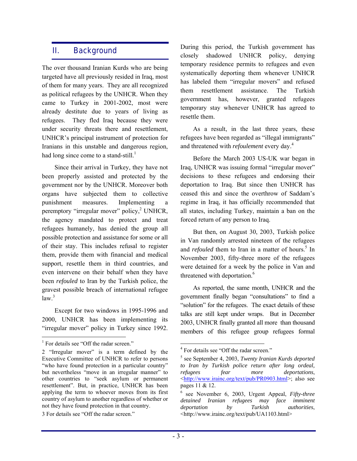#### II. Background

The over thousand Iranian Kurds who are being targeted have all previously resided in Iraq, most of them for many years. They are all recognized as political refugees by the UNHCR. When they came to Turkey in 2001-2002, most were already destitute due to years of living as refugees. They fled Iraq because they were under security threats there and resettlement, UNHCR's principal instrument of protection for Iranians in this unstable and dangerous region, had long since come to a stand-still.<sup>1</sup>

Since their arrival in Turkey, they have not been properly assisted and protected by the government nor by the UNHCR. Moreover both organs have subjected them to collective punishment measures. Implementing a peremptory "irregular mover" policy,<sup>2</sup> UNHCR, the agency mandated to protect and treat refugees humanely, has denied the group all possible protection and assistance for some or all of their stay. This includes refusal to register them, provide them with financial and medical support, resettle them in third countries, and even intervene on their behalf when they have been *refouled* to Iran by the Turkish police, the gravest possible breach of international refugee  $law<sup>3</sup>$ 

Except for two windows in 1995-1996 and 2000, UNHCR has been implementing its "irregular mover" policy in Turkey since 1992.

 $\overline{a}$ 

During this period, the Turkish government has closely shadowed UNHCR policy, denying temporary residence permits to refugees and even systematically deporting them whenever UNHCR has labeled them "irregular movers" and refused them resettlement assistance. The Turkish government has, however, granted refugees temporary stay whenever UNHCR has agreed to resettle them.

As a result, in the last three years, these refugees have been regarded as "illegal immigrants" and threatened with *refoulement* every day.4

Before the March 2003 US-UK war began in Iraq, UNHCR was issuing formal "irregular mover" decisions to these refugees and endorsing their deportation to Iraq. But since then UNHCR has ceased this and since the overthrow of Saddam's regime in Iraq, it has officially recommended that all states, including Turkey, maintain a ban on the forced return of any person to Iraq.

But then, on August 30, 2003, Turkish police in Van randomly arrested nineteen of the refugees and *refouled* them to Iran in a matter of hours.<sup>5</sup> In November 2003, fifty-three more of the refugees were detained for a week by the police in Van and threatened with deportation.<sup>6</sup>

As reported, the same month, UNHCR and the government finally began "consultations" to find a "solution" for the refugees. The exact details of these talks are still kept under wraps. But in December 2003, UNHCR finally granted all more than thousand members of this refugee group refugees formal

<sup>&</sup>lt;sup>1</sup> For details see "Off the radar screen."

<sup>2 &</sup>quot;Irregular mover" is a term defined by the Executive Committee of UNHCR to refer to persons "who have found protection in a particular country" but nevertheless "move in an irregular manner" to other countries to "seek asylum or permanent resettlement". But, in practice, UNHCR has been applying the term to whoever moves from its first country of asylum to another regardless of whether or not they have found protection in that country.

<sup>3</sup> For details see "Off the radar screen."

 $\overline{a}$ <sup>4</sup> For details see "Off the radar screen."

<sup>5</sup> see September 4, 2003, *Twenty Iranian Kurds deported to Iran by Turkish police return after long ordeal, refugees fear more deportations*, <http://www.irainc.org/text/pub/PR0903.html>; also see pages 11 & 12.

<sup>6</sup> see November 6, 2003, Urgent Appeal, *Fifty-three detained Iranian refugees may face imminent deportation by Turkish authorities*, <http://www.irainc.org/text/pub/UA1103.html>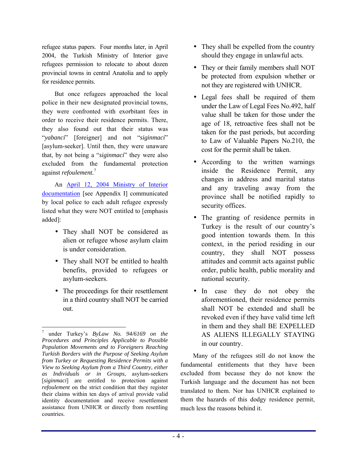refugee status papers. Four months later, in April 2004, the Turkish Ministry of Interior gave refugees permission to relocate to about dozen provincial towns in central Anatolia and to apply for residence permits.

But once refugees approached the local police in their new designated provincial towns, they were confronted with exorbitant fees in order to receive their residence permits. There, they also found out that their status was *''yabanci*'' [foreigner] and not *''siginmaci*'' [asylum-seeker]. Until then, they were unaware that, by not being a "*siginmaci*" they were also excluded from the fundamental protection against *refoulement.*<sup>7</sup>

An April 12, 2004 Ministry of Interior documentation [see Appendix I] communicated by local police to each adult refugee expressly listed what they were NOT entitled to [emphasis added]:

- They shall NOT be considered as alien or refugee whose asylum claim is under consideration.
- They shall NOT be entitled to health benefits, provided to refugees or asylum-seekers.
- The proceedings for their resettlement in a third country shall NOT be carried out.

 $\overline{a}$ 

- They shall be expelled from the country should they engage in unlawful acts.
- They or their family members shall NOT be protected from expulsion whether or not they are registered with UNHCR.
- Legal fees shall be required of them under the Law of Legal Fees No.492, half value shall be taken for those under the age of 18, retroactive fees shall not be taken for the past periods, but according to Law of Valuable Papers No.210, the cost for the permit shall be taken.
- According to the written warnings inside the Residence Permit, any changes in address and marital status and any traveling away from the province shall be notified rapidly to security offices.
- The granting of residence permits in Turkey is the result of our country's good intention towards them. In this context, in the period residing in our country, they shall NOT possess attitudes and commit acts against public order, public health, public morality and national security.
- In case they do not obey the aforementioned, their residence permits shall NOT be extended and shall be revoked even if they have valid time left in them and they shall BE EXPELLED AS ALIENS ILLEGALLY STAYING in our country.

Many of the refugees still do not know the fundamental entitlements that they have been excluded from because they do not know the Turkish language and the document has not been translated to them. Nor has UNHCR explained to them the hazards of this dodgy residence permit, much less the reasons behind it.

<sup>7</sup> under Turkeyís *ByLaw No. 94/6169 on the Procedures and Principles Applicable to Possible Population Movements and to Foreigners Reaching Turkish Borders with the Purpose of Seeking Asylum from Turkey or Requesting Residence Permits with a View to Seeking Asylum from a Third Country, either as Individuals or in Groups*, asylum-seekers [*siginmaci*] are entitled to protection against *refoulement* on the strict condition that they register their claims within ten days of arrival provide valid identity documentation and receive resettlement assistance from UNHCR or directly from resettling countries.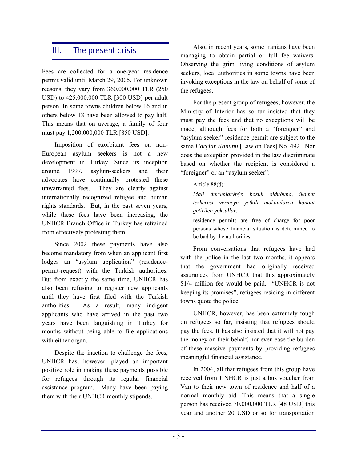### III. The present crisis

Fees are collected for a one-year residence permit valid until March 29, 2005. For unknown reasons, they vary from 360,000,000 TLR (250 USD) to 425,000,000 TLR [300 USD] per adult person. In some towns children below 16 and in others below 18 have been allowed to pay half. This means that on average, a family of four must pay 1,200,000,000 TLR [850 USD].

Imposition of exorbitant fees on non-European asylum seekers is not a new development in Turkey. Since its inception around 1997, asylum-seekers and their advocates have continually protested these unwarranted fees. They are clearly against internationally recognized refugee and human rights standards. But, in the past seven years, while these fees have been increasing, the UNHCR Branch Office in Turkey has refrained from effectively protesting them.

Since 2002 these payments have also become mandatory from when an applicant first lodges an "asylum application" (residencepermit-request) with the Turkish authorities. But from exactly the same time, UNHCR has also been refusing to register new applicants until they have first filed with the Turkish authorities. As a result, many indigent applicants who have arrived in the past two years have been languishing in Turkey for months without being able to file applications with either organ.

Despite the inaction to challenge the fees, UNHCR has, however, played an important positive role in making these payments possible for refugees through its regular financial assistance program. Many have been paying them with their UNHCR monthly stipends.

Also, in recent years, some Iranians have been managing to obtain partial or full fee waivers. Observing the grim living conditions of asylum seekers, local authorities in some towns have been invoking exceptions in the law on behalf of some of the refugees.

For the present group of refugees, however, the Ministry of Interior has so far insisted that they must pay the fees and that no exceptions will be made, although fees for both a "foreigner" and "asylum seeker" residence permit are subject to the same *Harçlar Kanunu* [Law on Fees] No. 492. Nor does the exception provided in the law discriminate based on whether the recipient is considered a "foreigner" or an "asylum seeker":

#### Article 88(d):

*Mali durumlarýnýn bozuk olduðuna, ikamet tezkeresi vermeye yetkili makamlarca kanaat getirilen yoksullar.* 

residence permits are free of charge for poor persons whose financial situation is determined to be bad by the authorities.

From conversations that refugees have had with the police in the last two months, it appears that the government had originally received assurances from UNHCR that this approximately  $$1/4$  million fee would be paid. "UNHCR is not keeping its promises", refugees residing in different towns quote the police.

UNHCR, however, has been extremely tough on refugees so far, insisting that refugees should pay the fees. It has also insisted that it will not pay the money on their behalf, nor even ease the burden of these massive payments by providing refugees meaningful financial assistance.

In 2004, all that refugees from this group have received from UNHCR is just a bus voucher from Van to their new town of residence and half of a normal monthly aid. This means that a single person has received 70,000,000 TLR [48 USD] this year and another 20 USD or so for transportation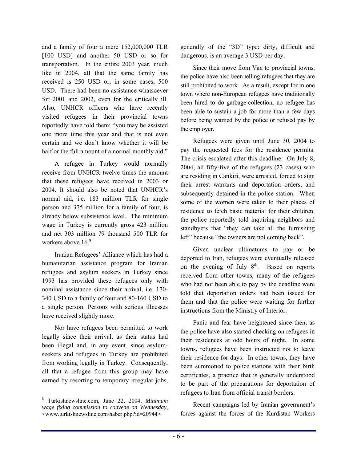and a family of four a mere 152,000,000 TLR [100 USD] and another 50 USD or so for transportation. In the entire 2003 year, much like in 2004, all that the same family has received is 250 USD or, in some cases, 500 USD. There had been no assistance whatsoever for 2001 and 2002, even for the critically ill. Also, UNHCR officers who have recently visited refugees in their provincial towns reportedly have told them: "you may be assisted one more time this year and that is not even certain and we don't know whether it will be half or the full amount of a normal monthly aid."

A refugee in Turkey would normally receive from UNHCR twelve times the amount that these refugees have received in 2003 or 2004. It should also be noted that UNHCR's normal aid, i.e. 183 million TLR for single person and 375 million for a family of four, is already below subsistence level. The minimum wage in Turkey is currently gross 423 million and net 303 million 79 thousand 500 TLR for workers above  $16.8$ 

Iranian Refugees' Alliance which has had a humanitarian assistance program for Iranian refugees and asylum seekers in Turkey since 1993 has provided these refugees only with nominal assistance since their arrival, i.e. 170- 340 USD to a family of four and 80-160 USD to a single person. Persons with serious illnesses have received slightly more.

Nor have refugees been permitted to work legally since their arrival, as their status had been illegal and, in any event, since asylumseekers and refugees in Turkey are prohibited from working legally in Turkey. Consequently, all that a refugee from this group may have earned by resorting to temporary irregular jobs,

 $\overline{a}$ 

generally of the "3D" type: dirty, difficult and dangerous, is an average 3 USD per day.

Since their move from Van to provincial towns, the police have also been telling refugees that they are still prohibited to work. As a result, except for in one town where non-European refugees have traditionally been hired to do garbage-collection, no refugee has been able to sustain a job for more than a few days before being warned by the police or refused pay by the employer.

Refugees were given until June 30, 2004 to pay the requested fees for the residence permits. The crisis escalated after this deadline. On July 8, 2004, all fifty-five of the refugees (23 cases) who are residing in Cankiri, were arrested, forced to sign their arrest warrants and deportation orders, and subsequently detained in the police station. When some of the women were taken to their places of residence to fetch basic material for their children, the police reportedly told inquiring neighbors and standbyers that "they can take all the furnishing left" because "the owners are not coming back".

Given unclear ultimatums to pay or be deported to Iran, refugees were eventually released on the evening of July  $8<sup>th</sup>$ . Based on reports received from other towns, many of the refugees who had not been able to pay by the deadline were told that deportation orders had been issued for them and that the police were waiting for further instructions from the Ministry of Interior.

Panic and fear have heightened since then, as the police have also started checking on refugees in their residences at odd hours of night. In some towns, refugees have been instructed not to leave their residence for days. In other towns, they have been summoned to police stations with their birth certificates, a practice that is generally understood to be part of the preparations for deportation of refugees to Iran from official transit borders.

Recent campaigns led by Iranian government's forces against the forces of the Kurdistan Workers

<sup>8</sup> Turkishnewsline.com, June 22, 2004, *Minimum wage fixing commission to convene on Wednesday*, <www.turkishnewsline.com/haber.php?id=20944>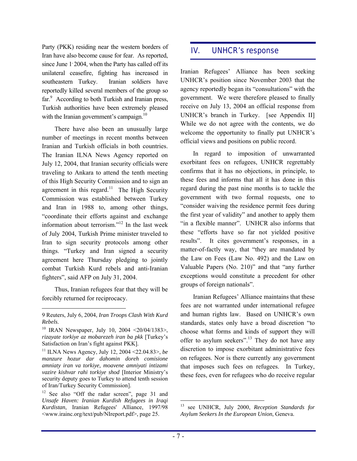Party (PKK) residing near the western borders of Iran have also become cause for fear. As reported, since June 1<sup>,</sup> 2004, when the Party has called off its unilateral ceasefire, fighting has increased in southeastern Turkey. Iranian soldiers have reportedly killed several members of the group so far.<sup>9</sup> According to both Turkish and Iranian press, Turkish authorities have been extremely pleased with the Iranian government's campaign. $10$ 

There have also been an unusually large number of meetings in recent months between Iranian and Turkish officials in both countries. The Iranian ILNA News Agency reported on July 12, 2004, that Iranian security officials were traveling to Ankara to attend the tenth meeting of this High Security Commission and to sign an agreement in this regard.<sup>11</sup> The High Security Commission was established between Turkey and Iran in 1988 to, among other things, ìcoordinate their efforts against and exchange information about terrorism. $i<sup>12</sup>$  In the last week of July 2004, Turkish Prime minister traveled to Iran to sign security protocols among other things. "Turkey and Iran signed a security agreement here Thursday pledging to jointly combat Turkish Kurd rebels and anti-Iranian fighters", said AFP on July 31, 2004.

Thus, Iranian refugees fear that they will be forcibly returned for reciprocacy.

 $\overline{a}$ 

11 ILNA News Agency, July 12, 2004 <22.04.83>, *be manzure hozur dar dahomin doreh comisione amniaty iran va torkiye, moavene amniyati intizami*  vazire kishvar rahi torkiye shod [Interior Ministry's security deputy goes to Turkey to attend tenth session of Iran/Turkey Security Commission].

#### IV. UNHCR's response

Iranian Refugees' Alliance has been seeking UNHCR's position since November 2003 that the agency reportedly began its "consultations" with the government. We were therefore pleased to finally receive on July 13, 2004 an official response from UNHCR's branch in Turkey. [see Appendix II] While we do not agree with the contents, we do welcome the opportunity to finally put UNHCR's official views and positions on public record.

In regard to imposition of unwarranted exorbitant fees on refugees, UNHCR regrettably confirms that it has no objections, in principle, to these fees and informs that all it has done in this regard during the past nine months is to tackle the government with two formal requests, one to ìconsider waiving the residence permit fees during the first year of validity" and another to apply them "in a flexible manner". UNHCR also informs that these "efforts have so far not yielded positive results". It cites government's responses, in a matter-of-factly way, that "they are mandated by the Law on Fees (Law No. 492) and the Law on Valuable Papers (No.  $210$ )" and that "any further exceptions would constitute a precedent for other groups of foreign nationals".

Iranian Refugees' Alliance maintains that these fees are not warranted under international refugee and human rights law. Based on UNHCR's own standards, states only have a broad discretion "to choose what forms and kinds of support they will offer to asylum seekers".<sup>13</sup> They do not have any discretion to impose exorbitant administrative fees on refugees. Nor is there currently any government that imposes such fees on refugees. In Turkey, these fees, even for refugees who do receive regular

<sup>9</sup> Reuters, July 6, 2004, *Iran Troops Clash With Kurd Rebels*.

<sup>&</sup>lt;sup>10</sup> IRAN Newspaper, July 10, 2004 <20/04/1383>, *rizayate torkiye az mobarezeh iran ba pkk* [Turkey's Satisfaction on Iran's fight against PKK].

 $12$  See also "Off the radar screen", page 31 and *Unsafe Haven: Iranian Kurdish Refugees in Iraqi Kurdistan*, Iranian Refugees' Alliance, 1997/98 <www.irainc.org/text/pub/NIreport.pdf>, page 25.

 $13\,$ 13 see UNHCR, July 2000, *Reception Standards for Asylum Seekers In the European Union*, Geneva.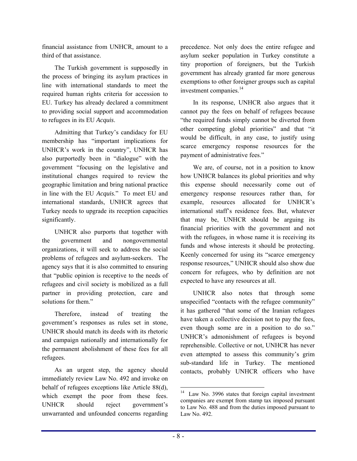financial assistance from UNHCR, amount to a third of that assistance.

The Turkish government is supposedly in the process of bringing its asylum practices in line with international standards to meet the required human rights criteria for accession to EU. Turkey has already declared a commitment to providing social support and accommodation to refugees in its EU *Acquis*.

Admitting that Turkey's candidacy for EU membership has "important implications for UNHCR's work in the country", UNHCR has also purportedly been in "dialogue" with the government "focusing on the legislative and institutional changes required to review the geographic limitation and bring national practice in line with the EU *Acquis*." To meet EU and international standards, UNHCR agrees that Turkey needs to upgrade its reception capacities significantly.

UNHCR also purports that together with the government and nongovernmental organizations, it will seek to address the social problems of refugees and asylum-seekers. The agency says that it is also committed to ensuring that "public opinion is receptive to the needs of refugees and civil society is mobilized as a full partner in providing protection, care and solutions for them."

Therefore, instead of treating the government's responses as rules set in stone, UNHCR should match its deeds with its rhetoric and campaign nationally and internationally for the permanent abolishment of these fees for all refugees.

As an urgent step, the agency should immediately review Law No. 492 and invoke on behalf of refugees exceptions like Article 88(d), which exempt the poor from these fees. UNHCR should reject government's unwarranted and unfounded concerns regarding precedence. Not only does the entire refugee and asylum seeker population in Turkey constitute a tiny proportion of foreigners, but the Turkish government has already granted far more generous exemptions to other foreigner groups such as capital investment companies.<sup>14</sup>

In its response, UNHCR also argues that it cannot pay the fees on behalf of refugees because "the required funds simply cannot be diverted from other competing global priorities" and that "it would be difficult, in any case, to justify using scarce emergency response resources for the payment of administrative fees."

We are, of course, not in a position to know how UNHCR balances its global priorities and why this expense should necessarily come out of emergency response resources rather than, for example, resources allocated for UNHCR's international staff's residence fees. But, whatever that may be, UNHCR should be arguing its financial priorities with the government and not with the refugees, in whose name it is receiving its funds and whose interests it should be protecting. Keenly concerned for using its "scarce emergency" response resources," UNHCR should also show due concern for refugees, who by definition are not expected to have any resources at all.

UNHCR also notes that through some unspecified "contacts with the refugee community" it has gathered "that some of the Iranian refugees have taken a collective decision not to pay the fees, even though some are in a position to do so." UNHCR's admonishment of refugees is beyond reprehensible. Collective or not, UNHCR has never even attempted to assess this community's grim sub-standard life in Turkey. The mentioned contacts, probably UNHCR officers who have

 $\overline{a}$ 

<sup>&</sup>lt;sup>14</sup> Law No. 3996 states that foreign capital investment companies are exempt from stamp tax imposed pursuant to Law No. 488 and from the duties imposed pursuant to Law No. 492.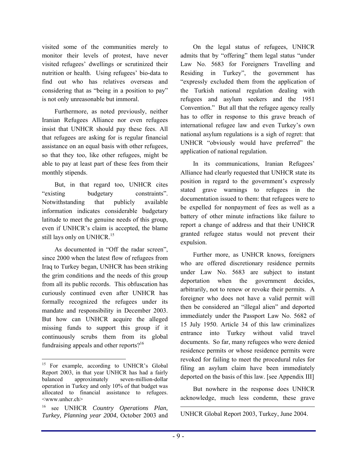visited some of the communities merely to monitor their levels of protest, have never visited refugees' dwellings or scrutinized their nutrition or health. Using refugees' bio-data to find out who has relatives overseas and considering that as "being in a position to pay" is not only unreasonable but immoral.

Furthermore, as noted previously, neither Iranian Refugees Alliance nor even refugees insist that UNHCR should pay these fees. All that refugees are asking for is regular financial assistance on an equal basis with other refugees, so that they too, like other refugees, might be able to pay at least part of these fees from their monthly stipends.

But, in that regard too, UNHCR cites "existing budgetary constraints". Notwithstanding that publicly available information indicates considerable budgetary latitude to meet the genuine needs of this group, even if UNHCR's claim is accepted, the blame still lays only on UNHCR.<sup>15</sup>

As documented in "Off the radar screen", since 2000 when the latest flow of refugees from Iraq to Turkey began, UNHCR has been striking the grim conditions and the needs of this group from all its public records. This obfuscation has curiously continued even after UNHCR has formally recognized the refugees under its mandate and responsibility in December 2003. But how can UNHCR acquire the alleged missing funds to support this group if it continuously scrubs them from its global fundraising appeals and other reports? $16$ 

On the legal status of refugees, UNHCR admits that by "offering" them legal status "under Law No. 5683 for Foreigners Travelling and Residing in Turkey", the government has ìexpressly excluded them from the application of the Turkish national regulation dealing with refugees and asylum seekers and the 1951 Convention." But all that the refugee agency really has to offer in response to this grave breach of international refugee law and even Turkey's own national asylum regulations is a sigh of regret: that UNHCR "obviously would have preferred" the application of national regulation.

In its communications, Iranian Refugees' Alliance had clearly requested that UNHCR state its position in regard to the government's expressly stated grave warnings to refugees in the documentation issued to them: that refugees were to be expelled for nonpayment of fees as well as a battery of other minute infractions like failure to report a change of address and that their UNHCR granted refugee status would not prevent their expulsion.

Further more, as UNHCR knows, foreigners who are offered discretionary residence permits under Law No. 5683 are subject to instant deportation when the government decides, arbitrarily, not to renew or revoke their permits. A foreigner who does not have a valid permit will then be considered an "illegal alien" and deported immediately under the Passport Law No. 5682 of 15 July 1950. Article 34 of this law criminalizes entrance into Turkey without valid travel documents. So far, many refugees who were denied residence permits or whose residence permits were revoked for failing to meet the procedural rules for filing an asylum claim have been immediately deported on the basis of this law. [see Appendix III]

But nowhere in the response does UNHCR acknowledge, much less condemn, these grave

 $\overline{a}$ UNHCR Global Report 2003, Turkey, June 2004.

 $\overline{a}$ <sup>15</sup> For example, according to UNHCR's Global Report 2003, in that year UNHCR has had a fairly balanced approximately seven-million-dollar operation in Turkey and only 10% of that budget was allocated to financial assistance to refugees. <www.unhcr.ch>

<sup>16</sup> see UNHCR *Country Operations Plan, Turkey, Planning year 2004*, October 2003 and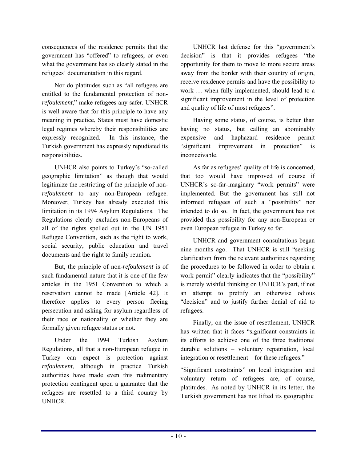consequences of the residence permits that the government has "offered" to refugees, or even what the government has so clearly stated in the refugees' documentation in this regard.

Nor do platitudes such as "all refugees are entitled to the fundamental protection of non*refoulement*," make refugees any safer. UNHCR is well aware that for this principle to have any meaning in practice, States must have domestic legal regimes whereby their responsibilities are expressly recognized. In this instance, the Turkish government has expressly repudiated its responsibilities.

UNHCR also points to Turkey's "so-called" geographic limitation" as though that would legitimize the restricting of the principle of non*refoulement* to any non-European refugee. Moreover, Turkey has already executed this limitation in its 1994 Asylum Regulations. The Regulations clearly excludes non-Europeans of all of the rights spelled out in the UN 1951 Refugee Convention, such as the right to work, social security, public education and travel documents and the right to family reunion.

But, the principle of non-*refoulement* is of such fundamental nature that it is one of the few articles in the 1951 Convention to which a reservation cannot be made [Article 42]. It therefore applies to every person fleeing persecution and asking for asylum regardless of their race or nationality or whether they are formally given refugee status or not.

Under the 1994 Turkish Asylum Regulations, all that a non-European refugee in Turkey can expect is protection against *refoulement*, although in practice Turkish authorities have made even this rudimentary protection contingent upon a guarantee that the refugees are resettled to a third country by UNHCR.

UNHCR last defense for this "government's decision" is that it provides refugees "the opportunity for them to move to more secure areas away from the border with their country of origin, receive residence permits and have the possibility to work ... when fully implemented, should lead to a significant improvement in the level of protection and quality of life of most refugees".

Having some status, of course, is better than having no status, but calling an abominably expensive and haphazard residence permit "significant improvement in protection" is inconceivable.

As far as refugees' quality of life is concerned, that too would have improved of course if UNHCR's so-far-imaginary "work permits" were implemented. But the government has still not informed refugees of such a "possibility" nor intended to do so. In fact, the government has not provided this possibility for any non-European or even European refugee in Turkey so far.

UNHCR and government consultations began nine months ago. That UNHCR is still "seeking clarification from the relevant authorities regarding the procedures to be followed in order to obtain a work permit" clearly indicates that the "possibility" is merely wishful thinking on UNHCR's part, if not an attempt to prettify an otherwise odious "decision" and to justify further denial of aid to refugees.

Finally, on the issue of resettlement, UNHCR has written that it faces "significant constraints in its efforts to achieve one of the three traditional  $durable$  solutions  $-$  voluntary repatriation, local integration or resettlement – for these refugees.<sup>"</sup>

"Significant constraints" on local integration and voluntary return of refugees are, of course, platitudes. As noted by UNHCR in its letter, the Turkish government has not lifted its geographic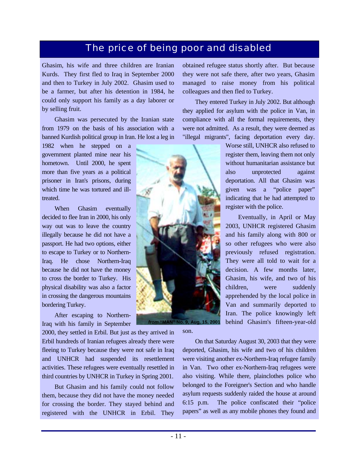## The price of being poor and disabled

Ghasim, his wife and three children are Iranian Kurds. They first fled to Iraq in September 2000 and then to Turkey in July 2002. Ghasim used to be a farmer, but after his detention in 1984, he could only support his family as a day laborer or by selling fruit.

Ghasim was persecuted by the Iranian state from 1979 on the basis of his association with a banned Kurdish political group in Iran. He lost a leg in

1982 when he stepped on a government planted mine near his hometown. Until 2000, he spent more than five years as a political prisoner in Iran's prisons, during which time he was tortured and illtreated.

When Ghasim eventually decided to flee Iran in 2000, his only way out was to leave the country illegally because he did not have a passport. He had two options, either to escape to Turkey or to Northern-Iraq. He chose Northern-Iraq because he did not have the money to cross the border to Turkey. His physical disability was also a factor in crossing the dangerous mountains bordering Turkey.

After escaping to Northern-Iraq with his family in September

2000, they settled in Erbil. But just as they arrived in Erbil hundreds of Iranian refugees already there were fleeing to Turkey because they were not safe in Iraq and UNHCR had suspended its resettlement activities. These refugees were eventually resettled in third countries by UNHCR in Turkey in Spring 2001.

But Ghasim and his family could not follow them, because they did not have the money needed for crossing the border. They stayed behind and registered with the UNHCR in Erbil. They obtained refugee status shortly after. But because they were not safe there, after two years, Ghasim managed to raise money from his political colleagues and then fled to Turkey.

They entered Turkey in July 2002. But although they applied for asylum with the police in Van, in compliance with all the formal requirements, they were not admitted. As a result, they were deemed as "illegal migrants", facing deportation every day.

register with the police.

Worse still, UNHCR also refused to register them, leaving them not only without humanitarian assistance but also unprotected against deportation. All that Ghasim was given was a "police paper" indicating that he had attempted to

Eventually, in April or May 2003, UNHCR registered Ghasim and his family along with 800 or so other refugees who were also previously refused registration. They were all told to wait for a decision. A few months later, Ghasim, his wife, and two of his children, were suddenly apprehended by the local police in Van and summarily deported to Iran. The police knowingly left behind Ghasim's fifteen-year-old



*from* **"MAN" No. 9, Aug. 15, 2001**

son.

On that Saturday August 30, 2003 that they were deported, Ghasim, his wife and two of his children were visiting another ex-Northern-Iraq refugee family in Van. Two other ex-Northern-Iraq refugees were also visiting. While there, plainclothes police who belonged to the Foreigner's Section and who handle asylum requests suddenly raided the house at around 6:15 p.m. The police confiscated their "police papers" as well as any mobile phones they found and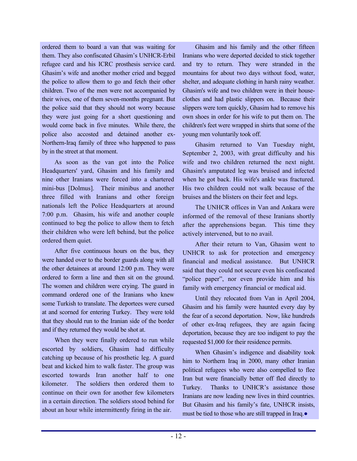ordered them to board a van that was waiting for them. They also confiscated Ghasim's UNHCR-Erbil refugee card and his ICRC prosthesis service card. Ghasim's wife and another mother cried and begged the police to allow them to go and fetch their other children. Two of the men were not accompanied by their wives, one of them seven-months pregnant. But the police said that they should not worry because they were just going for a short questioning and would come back in five minutes. While there, the police also accosted and detained another ex-Northern-Iraq family of three who happened to pass by in the street at that moment.

As soon as the van got into the Police Headquarters' yard, Ghasim and his family and nine other Iranians were forced into a chartered mini-bus [Dolmus]. Their minibus and another three filled with Iranians and other foreign nationals left the Police Headquarters at around 7:00 p.m. Ghasim, his wife and another couple continued to beg the police to allow them to fetch their children who were left behind, but the police ordered them quiet.

After five continuous hours on the bus, they were handed over to the border guards along with all the other detainees at around 12:00 p.m. They were ordered to form a line and then sit on the ground. The women and children were crying. The guard in command ordered one of the Iranians who knew some Turkish to translate. The deportees were cursed at and scorned for entering Turkey. They were told that they should run to the Iranian side of the border and if they returned they would be shot at.

When they were finally ordered to run while escorted by soldiers, Ghasim had difficulty catching up because of his prosthetic leg. A guard beat and kicked him to walk faster. The group was escorted towards Iran another half to one kilometer. The soldiers then ordered them to continue on their own for another few kilometers in a certain direction. The soldiers stood behind for about an hour while intermittently firing in the air.

Ghasim and his family and the other fifteen Iranians who were deported decided to stick together and try to return. They were stranded in the mountains for about two days without food, water, shelter, and adequate clothing in harsh rainy weather. Ghasim's wife and two children were in their houseclothes and had plastic slippers on. Because their slippers were torn quickly, Ghasim had to remove his own shoes in order for his wife to put them on. The children's feet were wrapped in shirts that some of the young men voluntarily took off.

Ghasim returned to Van Tuesday night, September 2, 2003, with great difficulty and his wife and two children returned the next night. Ghasim's amputated leg was bruised and infected when he got back. His wife's ankle was fractured. His two children could not walk because of the bruises and the blisters on their feet and legs.

The UNHCR offices in Van and Ankara were informed of the removal of these Iranians shortly after the apprehensions began. This time they actively intervened, but to no avail.

After their return to Van, Ghasim went to UNHCR to ask for protection and emergency financial and medical assistance. But UNHCR said that they could not secure even his confiscated "police paper", nor even provide him and his family with emergency financial or medical aid.

Until they relocated from Van in April 2004, Ghasim and his family were haunted every day by the fear of a second deportation. Now, like hundreds of other ex-Iraq refugees, they are again facing deportation, because they are too indigent to pay the requested \$1,000 for their residence permits.

When Ghasim's indigence and disability took him to Northern Iraq in 2000, many other Iranian political refugees who were also compelled to flee Iran but were financially better off fled directly to Turkey. Thanks to UNHCR's assistance those Iranians are now leading new lives in third countries. But Ghasim and his family's fate, UNHCR insists, must be tied to those who are still trapped in Iraq.●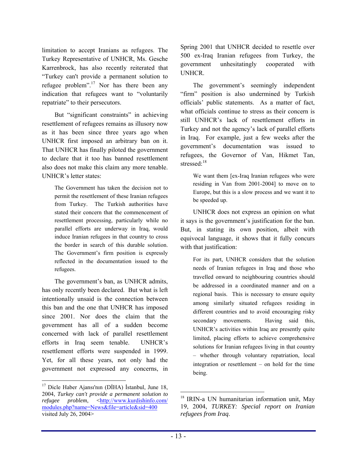limitation to accept Iranians as refugees. The Turkey Representative of UNHCR, Ms. Gesche Karrenbrock, has also recently reiterated that ìTurkey can't provide a permanent solution to refugee problem<sup>".17</sup> Nor has there been any indication that refugees want to "voluntarily repatriate" to their persecutors.

But "significant constraints" in achieving resettlement of refugees remains as illusory now as it has been since three years ago when UNHCR first imposed an arbitrary ban on it. That UNHCR has finally piloted the government to declare that it too has banned resettlement also does not make this claim any more tenable. UNHCR's letter states:

The Government has taken the decision not to permit the resettlement of these Iranian refugees from Turkey. The Turkish authorities have stated their concern that the commencement of resettlement processing, particularly while no parallel efforts are underway in Iraq, would induce Iranian refugees in that country to cross the border in search of this durable solution. The Government's firm position is expressly reflected in the documentation issued to the refugees.

The government's ban, as UNHCR admits, has only recently been declared. But what is left intentionally unsaid is the connection between this ban and the one that UNHCR has imposed since 2001. Nor does the claim that the government has all of a sudden become concerned with lack of parallel resettlement efforts in Iraq seem tenable. UNHCR's resettlement efforts were suspended in 1999. Yet, for all these years, not only had the government not expressed any concerns, in Spring 2001 that UNHCR decided to resettle over 500 ex-Iraq Iranian refugees from Turkey, the government unhesitatingly cooperated with UNHCR.

The government's seemingly independent "firm" position is also undermined by Turkish officials' public statements. As a matter of fact, what officials continue to stress as their concern is still UNHCR's lack of resettlement efforts in Turkey and not the agency's lack of parallel efforts in Iraq. For example, just a few weeks after the government's documentation was issued to refugees, the Governor of Van, Hikmet Tan, stressed<sup>.18</sup>

We want them [ex-Iraq Iranian refugees who were residing in Van from 2001-2004] to move on to Europe, but this is a slow process and we want it to be speeded up.

UNHCR does not express an opinion on what it says is the government's justification for the ban. But, in stating its own position, albeit with equivocal language, it shows that it fully concurs with that justification:

For its part, UNHCR considers that the solution needs of Iranian refugees in Iraq and those who travelled onward to neighbouring countries should be addressed in a coordinated manner and on a regional basis. This is necessary to ensure equity among similarly situated refugees residing in different countries and to avoid encouraging risky secondary movements. Having said this, UNHCR's activities within Iraq are presently quite limited, placing efforts to achieve comprehensive solutions for Iranian refugees living in that country - whether through voluntary repatriation, local integration or resettlement  $-$  on hold for the time being.

 $\overline{a}$ 

 $\overline{a}$ 17 Dicle Haber Ajansı'nın (DİHA) İstanbul, June 18, 2004, *Turkey can't provide a permanent solution to refugee problem*, <http://www.kurdishinfo.com/ modules.php?name=News&file=article&sid=400 visited July 26, 2004>

<sup>18</sup> IRIN-a UN humanitarian information unit, May 19, 2004, *TURKEY: Special report on Iranian refugees from Iraq*.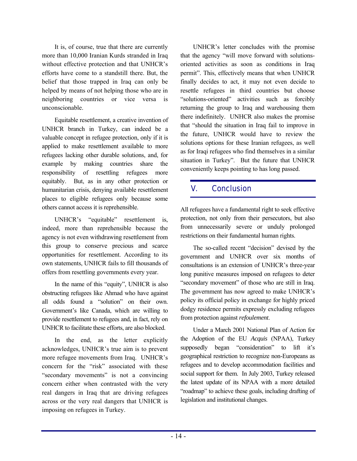It is, of course, true that there are currently more than 10,000 Iranian Kurds stranded in Iraq without effective protection and that UNHCR's efforts have come to a standstill there. But, the belief that those trapped in Iraq can only be helped by means of not helping those who are in neighboring countries or vice versa is unconscionable.

Equitable resettlement, a creative invention of UNHCR branch in Turkey, can indeed be a valuable concept in refugee protection, only if it is applied to make resettlement available to more refugees lacking other durable solutions, and, for example by making countries share the responsibility of resettling refugees more equitably. But, as in any other protection or humanitarian crisis, denying available resettlement places to eligible refugees only because some others cannot access it is reprehensible.

UNHCR's "equitable" resettlement is, indeed, more than reprehensible because the agency is not even withdrawing resettlement from this group to conserve precious and scarce opportunities for resettlement. According to its own statements, UNHCR fails to fill thousands of offers from resettling governments every year.

In the name of this "equity", UNHCR is also obstructing refugees like Ahmad who have against all odds found a "solution" on their own. Government's like Canada, which are willing to provide resettlement to refugees and, in fact, rely on UNHCR to facilitate these efforts, are also blocked.

In the end, as the letter explicitly acknowledges, UNHCR's true aim is to prevent more refugee movements from Iraq. UNHCR's concern for the "risk" associated with these "secondary movements" is not a convincing concern either when contrasted with the very real dangers in Iraq that are driving refugees across or the very real dangers that UNHCR is imposing on refugees in Turkey.

UNHCR's letter concludes with the promise that the agency "will move forward with solutionsoriented activities as soon as conditions in Iraq permit". This, effectively means that when UNHCR finally decides to act, it may not even decide to resettle refugees in third countries but choose "solutions-oriented" activities such as forcibly returning the group to Iraq and warehousing them there indefinitely. UNHCR also makes the promise that "should the situation in Iraq fail to improve in the future, UNHCR would have to review the solutions options for these Iranian refugees, as well as for Iraqi refugees who find themselves in a similar situation in Turkey". But the future that UNHCR conveniently keeps pointing to has long passed.

## V. Conclusion

All refugees have a fundamental right to seek effective protection, not only from their persecutors, but also from unnecessarily severe or unduly prolonged restrictions on their fundamental human rights.

The so-called recent "decision" devised by the government and UNHCR over six months of consultations is an extension of UNHCR's three-year long punitive measures imposed on refugees to deter "secondary movement" of those who are still in Iraq. The government has now agreed to make UNHCR's policy its official policy in exchange for highly priced dodgy residence permits expressly excluding refugees from protection against *refoulement*.

Under a March 2001 National Plan of Action for the Adoption of the EU *Acquis* (NPAA), Turkey supposedly began "consideration" to lift it's geographical restriction to recognize non-Europeans as refugees and to develop accommodation facilities and social support for them. In July 2003, Turkey released the latest update of its NPAA with a more detailed "roadmap" to achieve these goals, including drafting of legislation and institutional changes.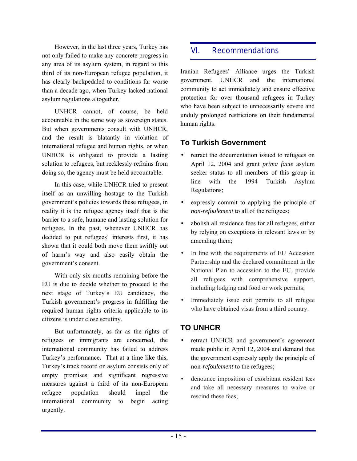However, in the last three years, Turkey has not only failed to make any concrete progress in any area of its asylum system, in regard to this third of its non-European refugee population, it has clearly backpedaled to conditions far worse than a decade ago, when Turkey lacked national asylum regulations altogether.

UNHCR cannot, of course, be held accountable in the same way as sovereign states. But when governments consult with UNHCR, and the result is blatantly in violation of international refugee and human rights, or when UNHCR is obligated to provide a lasting solution to refugees, but recklessly refrains from doing so, the agency must be held accountable.

In this case, while UNHCR tried to present itself as an unwilling hostage to the Turkish government's policies towards these refugees, in reality it is the refugee agency itself that is the barrier to a safe, humane and lasting solution for refugees. In the past, whenever UNHCR has decided to put refugees' interests first, it has shown that it could both move them swiftly out of harmís way and also easily obtain the government's consent.

With only six months remaining before the EU is due to decide whether to proceed to the next stage of Turkey's EU candidacy, the Turkish government's progress in fulfilling the required human rights criteria applicable to its citizens is under close scrutiny.

But unfortunately, as far as the rights of refugees or immigrants are concerned, the international community has failed to address Turkey's performance. That at a time like this, Turkey's track record on asylum consists only of empty promises and significant regressive measures against a third of its non-European refugee population should impel the international community to begin acting urgently.

## VI. Recommendations

Iranian Refugees' Alliance urges the Turkish government, UNHCR and the international community to act immediately and ensure effective protection for over thousand refugees in Turkey who have been subject to unnecessarily severe and unduly prolonged restrictions on their fundamental human rights.

#### **To Turkish Government**

- retract the documentation issued to refugees on April 12, 2004 and grant *prima facie* asylum seeker status to all members of this group in line with the 1994 Turkish Asylum Regulations;
- expressly commit to applying the principle of *non-refoulement* to all of the refugees;
- abolish all residence fees for all refugees, either by relying on exceptions in relevant laws or by amending them;
- In line with the requirements of EU Accession Partnership and the declared commitment in the National Plan to accession to the EU, provide all refugees with comprehensive support, including lodging and food or work permits;
- Immediately issue exit permits to all refugee who have obtained visas from a third country.

## **TO UNHCR**

- retract UNHCR and government's agreement made public in April 12, 2004 and demand that the government expressly apply the principle of non-*refoulement* to the refugees;
- denounce imposition of exorbitant resident fees and take all necessary measures to waive or rescind these fees;